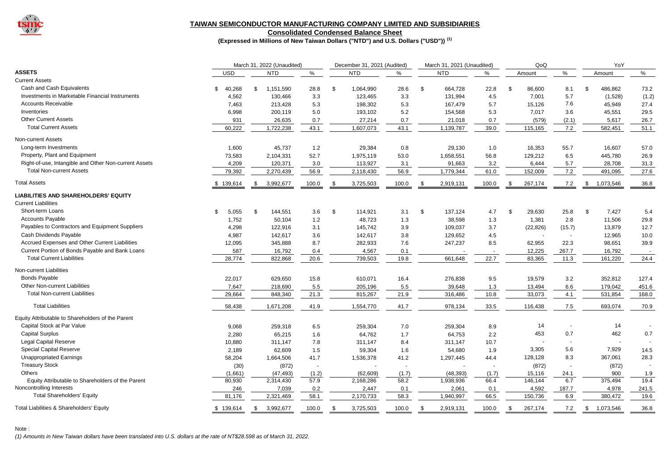

### **TAIWAN SEMICONDUCTOR MANUFACTURING COMPANY LIMITED AND SUBSIDIARIES**

**Consolidated Condensed Balance Sheet**

**(Expressed in Millions of New Taiwan Dollars ("NTD") and U.S. Dollars ("USD")) (1)**

|                                                       |              | March 31, 2022 (Unaudited) |        |               | December 31, 2021 (Audited) |       |      | March 31, 2021 (Unaudited) |       |      | QoQ       |                          | YoY |           |       |
|-------------------------------------------------------|--------------|----------------------------|--------|---------------|-----------------------------|-------|------|----------------------------|-------|------|-----------|--------------------------|-----|-----------|-------|
| <b>ASSETS</b>                                         | <b>USD</b>   | <b>NTD</b>                 | %      |               | <b>NTD</b>                  | %     |      | <b>NTD</b>                 | %     |      | Amount    | %                        |     | Amount    | %     |
| <b>Current Assets</b>                                 |              |                            |        |               |                             |       |      |                            |       |      |           |                          |     |           |       |
| Cash and Cash Equivalents                             | \$<br>40,268 | 1,151,590<br>\$            | 28.8   | $\mathfrak s$ | 1,064,990                   | 28.6  | \$   | 664,728                    | 22.8  | \$   | 86,600    | 8.1                      | \$. | 486,862   | 73.2  |
| Investments in Marketable Financial Instruments       | 4,562        | 130,466                    | 3.3    |               | 123,465                     | 3.3   |      | 131,994                    | 4.5   |      | 7,001     | 5.7                      |     | (1,528)   | (1.2) |
| <b>Accounts Receivable</b>                            | 7,463        | 213,428                    | 5.3    |               | 198,302                     | 5.3   |      | 167,479                    | 5.7   |      | 15,126    | 7.6                      |     | 45,949    | 27.4  |
| Inventories                                           | 6,998        | 200,119                    | 5.0    |               | 193,102                     | 5.2   |      | 154,568                    | 5.3   |      | 7,017     | 3.6                      |     | 45,551    | 29.5  |
| <b>Other Current Assets</b>                           | 931          | 26,635                     | 0.7    |               | 27,214                      | 0.7   |      | 21,018                     | 0.7   |      | (579)     | (2.1)                    |     | 5,617     | 26.7  |
| <b>Total Current Assets</b>                           | 60,222       | 1,722,238                  | 43.1   |               | 1,607,073                   | 43.1  |      | 1,139,787                  | 39.0  |      | 115,165   | 7.2                      |     | 582,451   | 51.1  |
| Non-current Assets                                    |              |                            |        |               |                             |       |      |                            |       |      |           |                          |     |           |       |
| Long-term Investments                                 | 1,600        | 45,737                     | 1.2    |               | 29,384                      | 0.8   |      | 29,130                     | 1.0   |      | 16,353    | 55.7                     |     | 16,607    | 57.0  |
| Property, Plant and Equipment                         | 73,583       | 2,104,331                  | 52.7   |               | 1,975,119                   | 53.0  |      | 1,658,551                  | 56.8  |      | 129,212   | 6.5                      |     | 445,780   | 26.9  |
| Right-of-use, Intangible and Other Non-current Assets | 4,209        | 120,371                    | 3.0    |               | 113,927                     | 3.1   |      | 91,663                     | 3.2   |      | 6,444     | 5.7                      |     | 28,708    | 31.3  |
| <b>Total Non-current Assets</b>                       | 79,392       | 2,270,439                  | 56.9   |               | 2,118,430                   | 56.9  |      | 1,779,344                  | 61.0  |      | 152,009   | 7.2                      |     | 491,095   | 27.6  |
| <b>Total Assets</b>                                   | \$139,614    | 3,992,677<br>- \$          | 100.0  | \$            | 3,725,503                   | 100.0 | - \$ | 2,919,131                  | 100.0 | - \$ | 267,174   | 7.2                      | \$  | 1,073,546 | 36.8  |
| <b>LIABILITIES AND SHAREHOLDERS' EQUITY</b>           |              |                            |        |               |                             |       |      |                            |       |      |           |                          |     |           |       |
| <b>Current Liabilities</b>                            |              |                            |        |               |                             |       |      |                            |       |      |           |                          |     |           |       |
| Short-term Loans                                      | \$<br>5,055  | \$<br>144,551              | 3.6    | \$            | 114,921                     | 3.1   | \$   | 137,124                    | 4.7   | \$   | 29,630    | 25.8                     | \$  | 7,427     | 5.4   |
| <b>Accounts Payable</b>                               | 1,752        | 50,104                     | 1.2    |               | 48,723                      | 1.3   |      | 38,598                     | 1.3   |      | 1,381     | 2.8                      |     | 11.506    | 29.8  |
| Payables to Contractors and Equipment Suppliers       | 4,298        | 122,916                    | 3.1    |               | 145,742                     | 3.9   |      | 109,037                    | 3.7   |      | (22, 826) | (15.7)                   |     | 13,879    | 12.7  |
| Cash Dividends Payable                                | 4,987        | 142,617                    | 3.6    |               | 142,617                     | 3.8   |      | 129,652                    | 4.5   |      |           | $\overline{\phantom{a}}$ |     | 12,965    | 10.0  |
| Accrued Expenses and Other Current Liabilities        | 12,095       | 345,888                    | 8.7    |               | 282,933                     | 7.6   |      | 247,237                    | 8.5   |      | 62,955    | 22.3                     |     | 98,651    | 39.9  |
| Current Portion of Bonds Payable and Bank Loans       | 587          | 16,792                     | 0.4    |               | 4,567                       | 0.1   |      |                            |       |      | 12,225    | 267.7                    |     | 16,792    |       |
| <b>Total Current Liabilities</b>                      | 28,774       | 822,868                    | 20.6   |               | 739,503                     | 19.8  |      | 661,648                    | 22.7  |      | 83,365    | 11.3                     |     | 161,220   | 24.4  |
| Non-current Liabilities                               |              |                            |        |               |                             |       |      |                            |       |      |           |                          |     |           |       |
| <b>Bonds Payable</b>                                  | 22,017       | 629,650                    | 15.8   |               | 610,071                     | 16.4  |      | 276,838                    | 9.5   |      | 19,579    | 3.2                      |     | 352,812   | 127.4 |
| Other Non-current Liabilities                         | 7,647        | 218,690                    | 5.5    |               | 205,196                     | 5.5   |      | 39,648                     | 1.3   |      | 13,494    | 6.6                      |     | 179,042   | 451.6 |
| <b>Total Non-current Liabilities</b>                  | 29,664       | 848,340                    | 21.3   |               | 815,267                     | 21.9  |      | 316,486                    | 10.8  |      | 33,073    | 4.1                      |     | 531,854   | 168.0 |
| <b>Total Liabilities</b>                              | 58,438       | 1,671,208                  | 41.9   |               | 1,554,770                   | 41.7  |      | 978,134                    | 33.5  |      | 116,438   | 7.5                      |     | 693,074   | 70.9  |
| Equity Attributable to Shareholders of the Parent     |              |                            |        |               |                             |       |      |                            |       |      |           |                          |     |           |       |
| Capital Stock at Par Value                            | 9,068        | 259,318                    | 6.5    |               | 259,304                     | 7.0   |      | 259,304                    | 8.9   |      | 14        |                          |     | 14        |       |
| <b>Capital Surplus</b>                                | 2,280        | 65,215                     | 1.6    |               | 64,762                      | 1.7   |      | 64,753                     | 2.2   |      | 453       | 0.7                      |     | 462       | 0.7   |
| Legal Capital Reserve                                 | 10,880       | 311,147                    | 7.8    |               | 311,147                     | 8.4   |      | 311,147                    | 10.7  |      |           |                          |     |           |       |
| <b>Special Capital Reserve</b>                        | 2,189        | 62,609                     | 1.5    |               | 59,304                      | 1.6   |      | 54,680                     | 1.9   |      | 3,305     | 5.6                      |     | 7,929     | 14.5  |
| <b>Unappropriated Earnings</b>                        | 58,204       | 1,664,506                  | 41.7   |               | 1,536,378                   | 41.2  |      | 1,297,445                  | 44.4  |      | 128,128   | 8.3                      |     | 367,061   | 28.3  |
| <b>Treasury Stock</b>                                 | (30)         | (872)                      | $\sim$ |               |                             |       |      |                            |       |      | (872)     | ÷.                       |     | (872)     |       |
| <b>Others</b>                                         | (1,661)      | (47, 493)                  | (1.2)  |               | (62, 609)                   | (1.7) |      | (48, 393)                  | (1.7) |      | 15,116    | 24.1                     |     | 900       | 1.9   |
| Equity Attributable to Shareholders of the Parent     | 80,930       | 2,314,430                  | 57.9   |               | 2,168,286                   | 58.2  |      | 1,938,936                  | 66.4  |      | 146.144   | 6.7                      |     | 375.494   | 19.4  |
| Noncontrolling Interests                              | 246          | 7,039                      | 0.2    |               | 2,447                       | 0.1   |      | 2,061                      | 0.1   |      | 4,592     | 187.7                    |     | 4,978     | 241.5 |
| <b>Total Shareholders' Equity</b>                     | 81,176       | 2,321,469                  | 58.1   |               | 2,170,733                   | 58.3  |      | 1,940,997                  | 66.5  |      | 150.736   | 6.9                      |     | 380.472   | 19.6  |
| Total Liabilities & Shareholders' Equity              | \$139,614    | \$<br>3,992,677            | 100.0  | \$            | 3,725,503                   | 100.0 | -\$  | 2,919,131                  | 100.0 | \$   | 267,174   | 7.2                      | \$  | 1,073,546 | 36.8  |

Note :

*(1) Amounts in New Taiwan dollars have been translated into U.S. dollars at the rate of NT\$28.598 as of March 31, 2022.*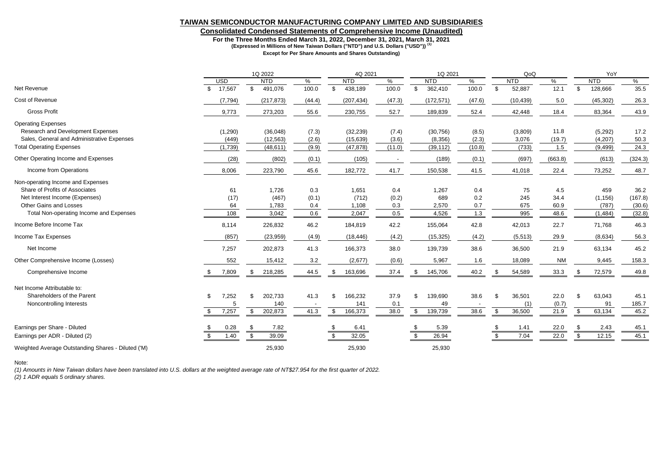### **TAIWAN SEMICONDUCTOR MANUFACTURING COMPANY LIMITED AND SUBSIDIARIES**

## **Consolidated Condensed Statements of Comprehensive Income (Unaudited)**

**For the Three Months Ended March 31, 2022, December 31, 2021, March 31, 2021**

**(Expressed in Millions of New Taiwan Dollars ("NTD") and U.S. Dollars ("USD")) (1)**

**Except for Per Share Amounts and Shares Outstanding)**

|                                                                                                                                 |                            | 1Q 2022                                |                     | 4Q 2021                               |                     | 1Q 2021                              |                   | QoQ                                 |                       | YoY                                   |                           |  |
|---------------------------------------------------------------------------------------------------------------------------------|----------------------------|----------------------------------------|---------------------|---------------------------------------|---------------------|--------------------------------------|-------------------|-------------------------------------|-----------------------|---------------------------------------|---------------------------|--|
|                                                                                                                                 | <b>USD</b>                 | <b>NTD</b>                             | $\%$                | <b>NTD</b>                            | %                   | <b>NTD</b>                           | %                 | <b>NTD</b>                          | ℅                     | <b>NTD</b>                            | %                         |  |
| Net Revenue                                                                                                                     | 17,567<br>$\mathbb{S}$     | \$<br>491,076                          | 100.0               | 438,189<br>-S                         | 100.0               | 362,410<br>\$                        | 100.0             | 52,887<br>\$                        | 12.1                  | 128,666<br>\$                         | 35.5                      |  |
| Cost of Revenue                                                                                                                 | (7, 794)                   | (217, 873)                             | (44.4)              | (207, 434)                            | (47.3)              | (172, 571)                           | (47.6)            | (10, 439)                           | 5.0                   | (45, 302)                             | 26.3                      |  |
| <b>Gross Profit</b>                                                                                                             | 9,773                      | 273,203                                | 55.6                | 230,755                               | 52.7                | 189,839                              | 52.4              | 42,448                              | 18.4                  | 83,364                                | 43.9                      |  |
| <b>Operating Expenses</b><br>Research and Development Expenses<br>Sales, General and Administrative Expenses                    | (1, 290)<br>(449)          | (36,048)<br>(12, 563)                  | (7.3)<br>(2.6)      | (32, 239)<br>(15,639)                 | (7.4)<br>(3.6)      | (30, 756)<br>(8,356)                 | (8.5)<br>(2.3)    | (3,809)<br>3,076                    | 11.8<br>(19.7)        | (5, 292)<br>(4, 207)                  | 17.2<br>50.3              |  |
| <b>Total Operating Expenses</b>                                                                                                 | (1,739)                    | (48, 611)                              | (9.9)               | (47, 878)                             | (11.0)              | (39, 112)                            | (10.8)            | (733)                               | 1.5                   | (9, 499)                              | 24.3                      |  |
| Other Operating Income and Expenses                                                                                             | (28)                       | (802)                                  | (0.1)               | (105)                                 |                     | (189)                                | (0.1)             | (697)                               | (663.8)               | (613)                                 | (324.3)                   |  |
| Income from Operations                                                                                                          | 8,006                      | 223,790                                | 45.6                | 182,772                               | 41.7                | 150,538                              | 41.5              | 41,018                              | 22.4                  | 73,252                                | 48.7                      |  |
| Non-operating Income and Expenses<br>Share of Profits of Associates<br>Net Interest Income (Expenses)<br>Other Gains and Losses | 61<br>(17)<br>64           | 1,726<br>(467)<br>1,783                | 0.3<br>(0.1)<br>0.4 | 1,651<br>(712)<br>1,108               | 0.4<br>(0.2)<br>0.3 | 1,267<br>689<br>2,570                | 0.4<br>0.2<br>0.7 | 75<br>245<br>675                    | 4.5<br>34.4<br>60.9   | 459<br>(1, 156)<br>(787)              | 36.2<br>(167.8)<br>(30.6) |  |
| Total Non-operating Income and Expenses                                                                                         | 108                        | 3,042                                  | 0.6                 | 2,047                                 | 0.5                 | 4,526                                | 1.3               | 995                                 | 48.6                  | (1, 484)                              | (32.8)                    |  |
| Income Before Income Tax                                                                                                        | 8,114                      | 226,832                                | 46.2                | 184,819                               | 42.2                | 155,064                              | 42.8              | 42,013                              | 22.7                  | 71,768                                | 46.3                      |  |
| Income Tax Expenses                                                                                                             | (857)                      | (23,959)                               | (4.9)               | (18, 446)                             | (4.2)               | (15, 325)                            | (4.2)             | (5, 513)                            | 29.9                  | (8,634)                               | 56.3                      |  |
| Net Income                                                                                                                      | 7,257                      | 202,873                                | 41.3                | 166,373                               | 38.0                | 139,739                              | 38.6              | 36,500                              | 21.9                  | 63,134                                | 45.2                      |  |
| Other Comprehensive Income (Losses)                                                                                             | 552                        | 15,412                                 | 3.2                 | (2,677)                               | (0.6)               | 5,967                                | 1.6               | 18,089                              | <b>NM</b>             | 9,445                                 | 158.3                     |  |
| Comprehensive Income                                                                                                            | 7,809<br>S.                | 218,285<br>- 5                         | 44.5                | 163,696<br>- 55                       | 37.4                | 145,706<br>-\$                       | 40.2              | 54,589                              | 33.3                  | 72,579                                | 49.8                      |  |
| Net Income Attributable to:<br>Shareholders of the Parent<br>Noncontrolling Interests                                           | 7,252<br>\$<br>7,257<br>\$ | 202,733<br>\$.<br>140<br>\$<br>202,873 | 41.3<br>41.3        | 166,232<br>\$<br>141<br>\$<br>166,373 | 37.9<br>0.1<br>38.0 | \$<br>139,690<br>49<br>139,739<br>\$ | 38.6<br>38.6      | 36,501<br>\$<br>(1)<br>36,500<br>\$ | 22.0<br>(0.7)<br>21.9 | 63,043<br>\$<br>91<br>\$<br>63,134    | 45.1<br>185.7<br>45.2     |  |
| Earnings per Share - Diluted<br>Earnings per ADR - Diluted (2)                                                                  | 0.28<br>1.40               | 7.82<br>\$<br>39.09<br>\$              |                     | 6.41<br>32.05                         |                     | 5.39<br>26.94                        |                   | 1.41<br>7.04                        | 22.0<br>22.0          | 2.43<br>\$<br>$\mathfrak{L}$<br>12.15 | 45.1<br>45.1              |  |
| Weighted Average Outstanding Shares - Diluted ('M)                                                                              |                            | 25,930                                 |                     | 25,930                                |                     | 25,930                               |                   |                                     |                       |                                       |                           |  |

#### Note:

*(1) Amounts in New Taiwan dollars have been translated into U.S. dollars at the weighted average rate of NT\$27.954 for the first quarter of 2022.*

*(2) 1 ADR equals 5 ordinary shares.*